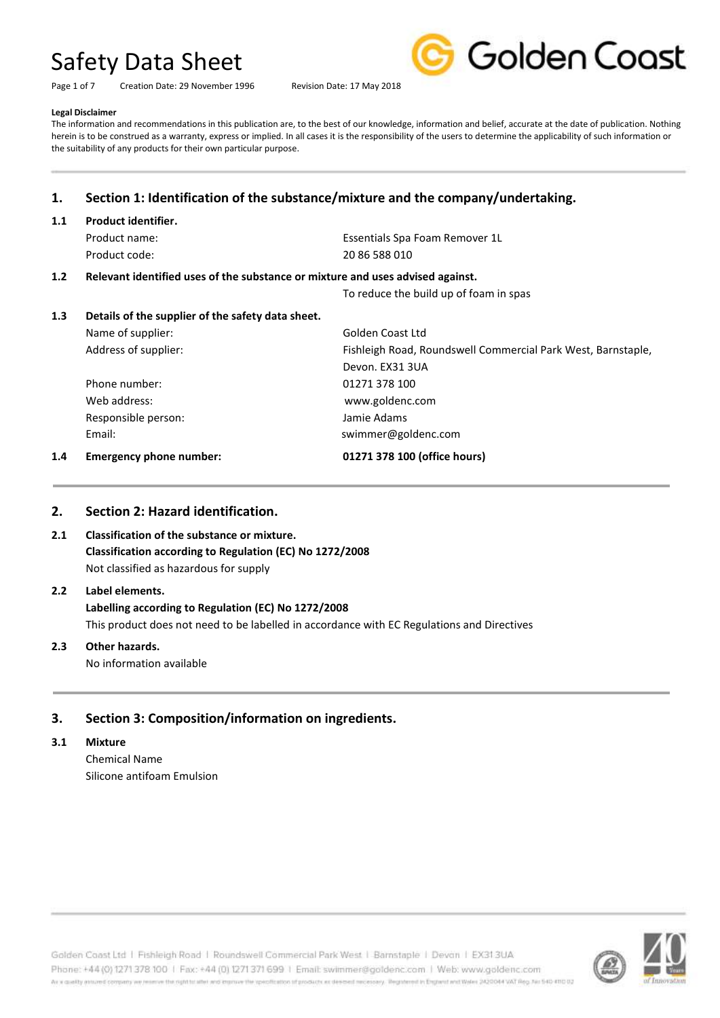Page 1 of 7 Creation Date: 29 November 1996 Revision Date: 17 May 2018



#### **Legal Disclaimer**

The information and recommendations in this publication are, to the best of our knowledge, information and belief, accurate at the date of publication. Nothing herein is to be construed as a warranty, express or implied. In all cases it is the responsibility of the users to determine the applicability of such information or the suitability of any products for their own particular purpose.

## **1. Section 1: Identification of the substance/mixture and the company/undertaking.**

### **1.1 Product identifier.**

| Product name: | Essentials Spa Foam Remover 1L |
|---------------|--------------------------------|
| Product code: | 20 86 588 010                  |

#### **1.2 Relevant identified uses of the substance or mixture and uses advised against.**

To reduce the build up of foam in spas

| 1.4 | <b>Emergency phone number:</b>                    | 01271 378 100 (office hours)                                 |
|-----|---------------------------------------------------|--------------------------------------------------------------|
|     | Email:                                            | swimmer@goldenc.com                                          |
|     | Responsible person:                               | Jamie Adams                                                  |
|     | Web address:                                      | www.goldenc.com                                              |
|     | Phone number:                                     | 01271 378 100                                                |
|     |                                                   | Devon. EX31 3UA                                              |
|     | Address of supplier:                              | Fishleigh Road, Roundswell Commercial Park West, Barnstaple, |
|     | Name of supplier:                                 | Golden Coast Ltd                                             |
| 1.3 | Details of the supplier of the safety data sheet. |                                                              |

### **2. Section 2: Hazard identification.**

### **2.1 Classification of the substance or mixture. Classification according to Regulation (EC) No 1272/2008** Not classified as hazardous for supply

## **2.2 Label elements.**

**Labelling according to Regulation (EC) No 1272/2008** This product does not need to be labelled in accordance with EC Regulations and Directives

## **2.3 Other hazards.**

No information available

## **3. Section 3: Composition/information on ingredients.**

#### **3.1 Mixture**

Chemical Name Silicone antifoam Emulsion

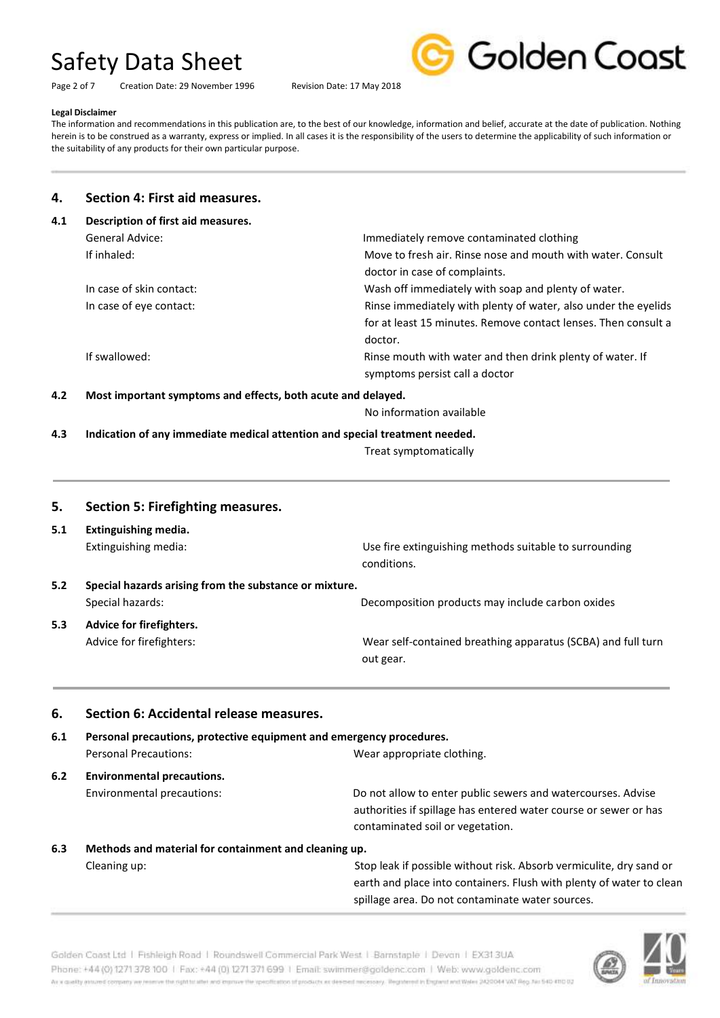Page 2 of 7 Creation Date: 29 November 1996 Revision Date: 17 May 2018



#### **Legal Disclaimer**

The information and recommendations in this publication are, to the best of our knowledge, information and belief, accurate at the date of publication. Nothing herein is to be construed as a warranty, express or implied. In all cases it is the responsibility of the users to determine the applicability of such information or the suitability of any products for their own particular purpose.

### **4. Section 4: First aid measures.**

| 4.1 | Description of first aid measures. |                                                                |
|-----|------------------------------------|----------------------------------------------------------------|
|     | General Advice:                    | Immediately remove contaminated clothing                       |
|     | If inhaled:                        | Move to fresh air. Rinse nose and mouth with water. Consult    |
|     |                                    | doctor in case of complaints.                                  |
|     | In case of skin contact:           | Wash off immediately with soap and plenty of water.            |
|     | In case of eye contact:            | Rinse immediately with plenty of water, also under the eyelids |
|     |                                    | for at least 15 minutes. Remove contact lenses. Then consult a |
|     |                                    | doctor.                                                        |
|     | If swallowed:                      | Rinse mouth with water and then drink plenty of water. If      |
|     |                                    | symptoms persist call a doctor                                 |
|     |                                    |                                                                |

**4.2 Most important symptoms and effects, both acute and delayed.**

No information available

**4.3 Indication of any immediate medical attention and special treatment needed.**

Treat symptomatically

## **5. Section 5: Firefighting measures. 5.1 Extinguishing media.** Extinguishing media: Use fire extinguishing methods suitable to surrounding conditions. **5.2 Special hazards arising from the substance or mixture.** Special hazards: Decomposition products may include carbon oxides **5.3 Advice for firefighters.** Advice for firefighters: Wear self-contained breathing apparatus (SCBA) and full turn out gear.

#### **6. Section 6: Accidental release measures.**

| Personal precautions, protective equipment and emergency procedures.<br>6.1 |                                                       |                                                                                                                                                                      |
|-----------------------------------------------------------------------------|-------------------------------------------------------|----------------------------------------------------------------------------------------------------------------------------------------------------------------------|
|                                                                             | <b>Personal Precautions:</b>                          | Wear appropriate clothing.                                                                                                                                           |
| 6.2                                                                         | <b>Environmental precautions.</b>                     |                                                                                                                                                                      |
|                                                                             | Environmental precautions:                            | Do not allow to enter public sewers and watercourses. Advise<br>authorities if spillage has entered water course or sewer or has<br>contaminated soil or vegetation. |
| 6.3                                                                         | Methods and material for containment and cleaning up. |                                                                                                                                                                      |
|                                                                             | Cleaning up:                                          | Stop leak if possible without risk. Absorb vermiculite, dry sand or                                                                                                  |

 earth and place into containers. Flush with plenty of water to clean spillage area. Do not contaminate water sources.



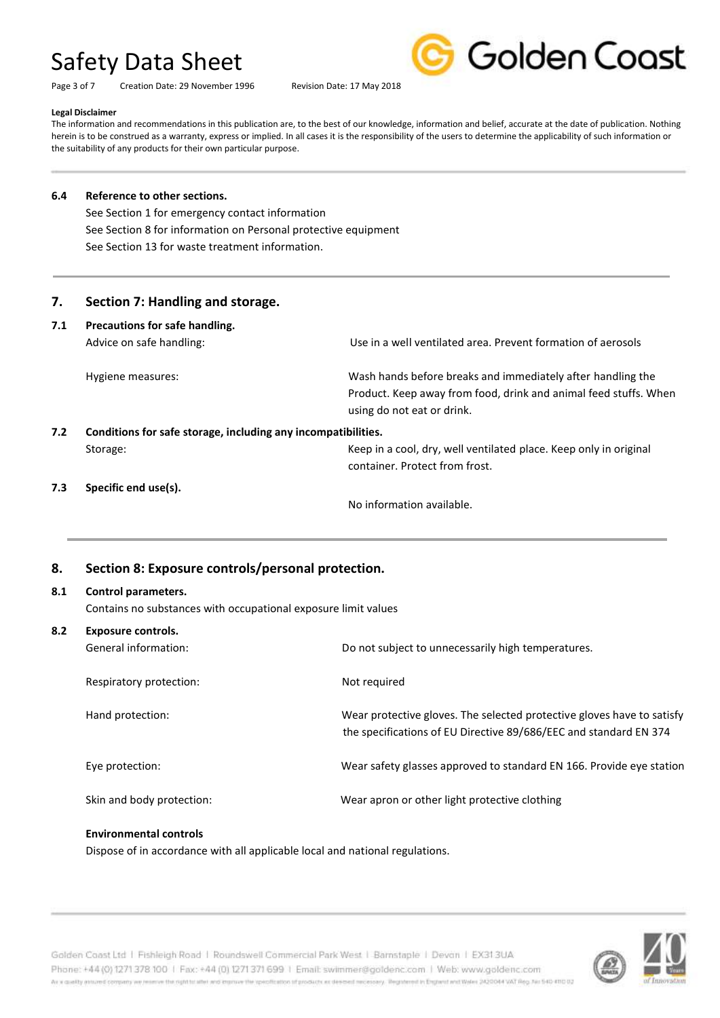Page 3 of 7 Creation Date: 29 November 1996 Revision Date: 17 May 2018



#### **Legal Disclaimer**

The information and recommendations in this publication are, to the best of our knowledge, information and belief, accurate at the date of publication. Nothing herein is to be construed as a warranty, express or implied. In all cases it is the responsibility of the users to determine the applicability of such information or the suitability of any products for their own particular purpose.

#### **6.4 Reference to other sections.**

See Section 1 for emergency contact information See Section 8 for information on Personal protective equipment See Section 13 for waste treatment information.

#### **7. Section 7: Handling and storage.**

| 7.1                                                                  | Precautions for safe handling. |                                                                                                                                                               |
|----------------------------------------------------------------------|--------------------------------|---------------------------------------------------------------------------------------------------------------------------------------------------------------|
|                                                                      | Advice on safe handling:       | Use in a well ventilated area. Prevent formation of aerosols                                                                                                  |
|                                                                      | Hygiene measures:              | Wash hands before breaks and immediately after handling the<br>Product. Keep away from food, drink and animal feed stuffs. When<br>using do not eat or drink. |
| 7.2<br>Conditions for safe storage, including any incompatibilities. |                                |                                                                                                                                                               |
|                                                                      | Storage:                       | Keep in a cool, dry, well ventilated place. Keep only in original<br>container. Protect from frost.                                                           |
| 7.3                                                                  | Specific end use(s).           |                                                                                                                                                               |
|                                                                      |                                | No information available.                                                                                                                                     |

### **8. Section 8: Exposure controls/personal protection.**

## **8.1 Control parameters.**

Contains no substances with occupational exposure limit values

| 8.2 | Exposure controls.        |                                                                                                                                             |  |
|-----|---------------------------|---------------------------------------------------------------------------------------------------------------------------------------------|--|
|     | General information:      | Do not subject to unnecessarily high temperatures.                                                                                          |  |
|     | Respiratory protection:   | Not required                                                                                                                                |  |
|     | Hand protection:          | Wear protective gloves. The selected protective gloves have to satisfy<br>the specifications of EU Directive 89/686/EEC and standard EN 374 |  |
|     | Eye protection:           | Wear safety glasses approved to standard EN 166. Provide eye station                                                                        |  |
|     | Skin and body protection: | Wear apron or other light protective clothing                                                                                               |  |

#### **Environmental controls**

Dispose of in accordance with all applicable local and national regulations.



Golden Coast Ltd | Fishleigh Road | Roundswell Commercial Park West | Barnstaple | Devon | EX313UA Phone: +44 (0) 1271 378 100 | Fax: +44 (0) 1271 371 699 | Email: swimmer@goldenc.com | Web: www.goldenc.com As a quality entured company we reserve the right to aller and exposure the specification of products as determinated and as any illegatement in England and Wales (AQDO44 VAT Reg. Just 540-410 D2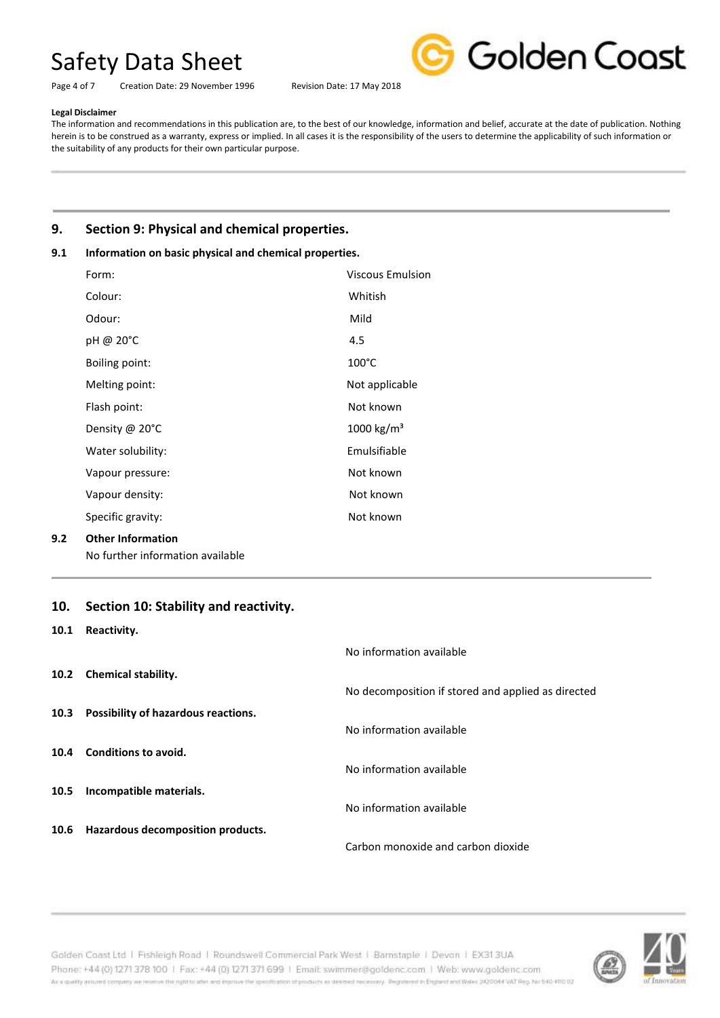Page 4 of 7 Creation Date: 29 November 1996 Revision Date: 17 May 2018



#### **Legal Disclaimer**

The information and recommendations in this publication are, to the best of our knowledge, information and belief, accurate at the date of publication. Nothing herein is to be construed as a warranty, express or implied. In all cases it is the responsibility of the users to determine the applicability of such information or the suitability of any products for their own particular purpose.

## **9. Section 9: Physical and chemical properties.**

### **9.1 Information on basic physical and chemical properties.**

| Form:                    | <b>Viscous Emulsion</b> |
|--------------------------|-------------------------|
| Colour:                  | Whitish                 |
| Odour:                   | Mild                    |
| pH @ 20°C                | 4.5                     |
| Boiling point:           | $100^{\circ}$ C         |
| Melting point:           | Not applicable          |
| Flash point:             | Not known               |
| Density @ 20°C           | 1000 kg/m <sup>3</sup>  |
| Water solubility:        | Emulsifiable            |
| Vapour pressure:         | Not known               |
| Vapour density:          | Not known               |
| Specific gravity:        | Not known               |
| <b>Other Information</b> |                         |

No further information available

### **10. Section 10: Stability and reactivity.**

#### **10.1 Reactivity.**

**9.2 Other Information**

- **10.2 Chemical stability.**
- **10.3 Possibility of hazardous reactions.**
- **10.4 Conditions to avoid.**
- **10.5 Incompatible materials.**
- **10.6 Hazardous decomposition products.**

| ncacuvicy.                                 |                                                    |
|--------------------------------------------|----------------------------------------------------|
|                                            | No information available                           |
| <b>Chemical stability.</b>                 |                                                    |
|                                            | No decomposition if stored and applied as directed |
| <b>Possibility of hazardous reactions.</b> |                                                    |
|                                            | No information available                           |
| <b>Conditions to avoid.</b>                |                                                    |
|                                            | No information available                           |
| Incompatible materials.                    |                                                    |
|                                            | No information available                           |
| Hazardous decomposition products.          |                                                    |
|                                            | Carbon monoxide and carbon dioxide                 |

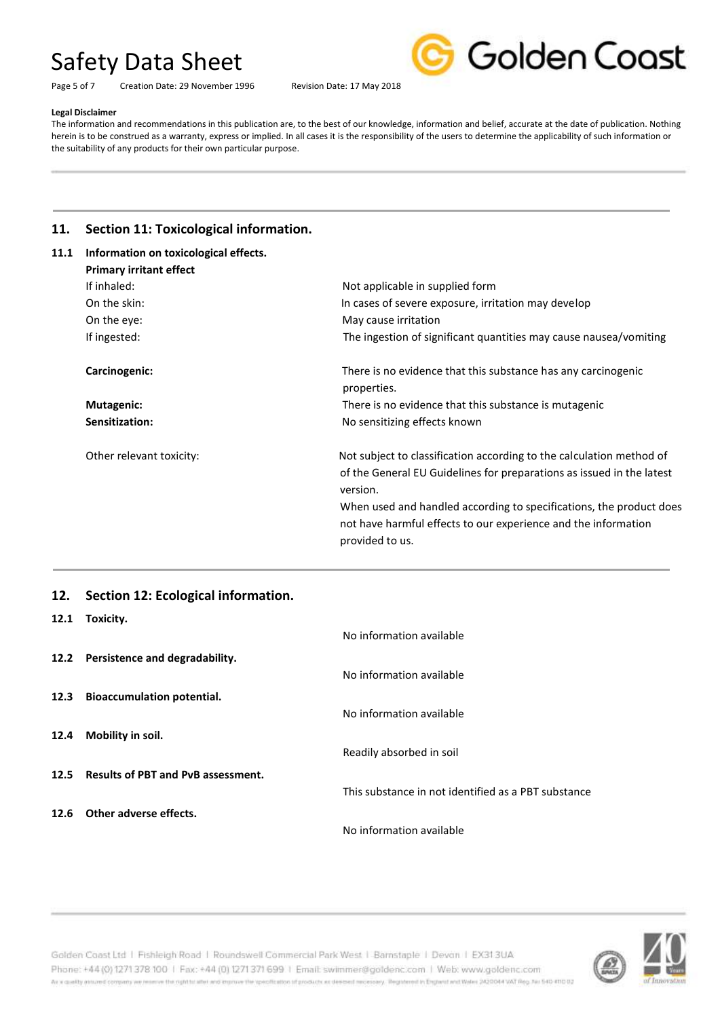Page 5 of 7 Creation Date: 29 November 1996 Revision Date: 17 May 2018



#### **Legal Disclaimer**

The information and recommendations in this publication are, to the best of our knowledge, information and belief, accurate at the date of publication. Nothing herein is to be construed as a warranty, express or implied. In all cases it is the responsibility of the users to determine the applicability of such information or the suitability of any products for their own particular purpose.

## **11. Section 11: Toxicological information.**

| Information on toxicological effects. |                                                                                                                                                                                                                                                                                                                       |
|---------------------------------------|-----------------------------------------------------------------------------------------------------------------------------------------------------------------------------------------------------------------------------------------------------------------------------------------------------------------------|
| <b>Primary irritant effect</b>        |                                                                                                                                                                                                                                                                                                                       |
| If inhaled:                           | Not applicable in supplied form                                                                                                                                                                                                                                                                                       |
| On the skin:                          | In cases of severe exposure, irritation may develop                                                                                                                                                                                                                                                                   |
| On the eye:                           | May cause irritation                                                                                                                                                                                                                                                                                                  |
| If ingested:                          | The ingestion of significant quantities may cause nausea/vomiting                                                                                                                                                                                                                                                     |
| Carcinogenic:                         | There is no evidence that this substance has any carcinogenic<br>properties.                                                                                                                                                                                                                                          |
| Mutagenic:                            | There is no evidence that this substance is mutagenic                                                                                                                                                                                                                                                                 |
| Sensitization:                        | No sensitizing effects known                                                                                                                                                                                                                                                                                          |
| Other relevant toxicity:              | Not subject to classification according to the calculation method of<br>of the General EU Guidelines for preparations as issued in the latest<br>version.<br>When used and handled according to specifications, the product does<br>not have harmful effects to our experience and the information<br>provided to us. |
|                                       |                                                                                                                                                                                                                                                                                                                       |

## **12. Section 12: Ecological information.**

|      | 12.1 Toxicity.                          |                                                     |
|------|-----------------------------------------|-----------------------------------------------------|
|      |                                         | No information available                            |
|      | 12.2 Persistence and degradability.     |                                                     |
|      |                                         | No information available                            |
|      | 12.3 Bioaccumulation potential.         |                                                     |
|      |                                         | No information available                            |
| 12.4 | Mobility in soil.                       |                                                     |
|      |                                         | Readily absorbed in soil                            |
|      | 12.5 Results of PBT and PvB assessment. | This substance in not identified as a PBT substance |
|      |                                         |                                                     |
|      | 12.6 Other adverse effects.             |                                                     |
|      |                                         | No information available                            |



Golden Coast Ltd | Fishleigh Road | Roundswell Commercial Park West | Barnstaple | Devon | EX313UA Phone: +44 (0) 1271 378 100 | Fax: +44 (0) 1271 371 699 | Email: swimmer@goldenc.com | Web: www.goldenc.com As a quality ensured company we reserve the right to after and enprice the specification of products as deepent recessary. Registered in England and Wales (AQDO44 VAT Reg. Just 540-410 D2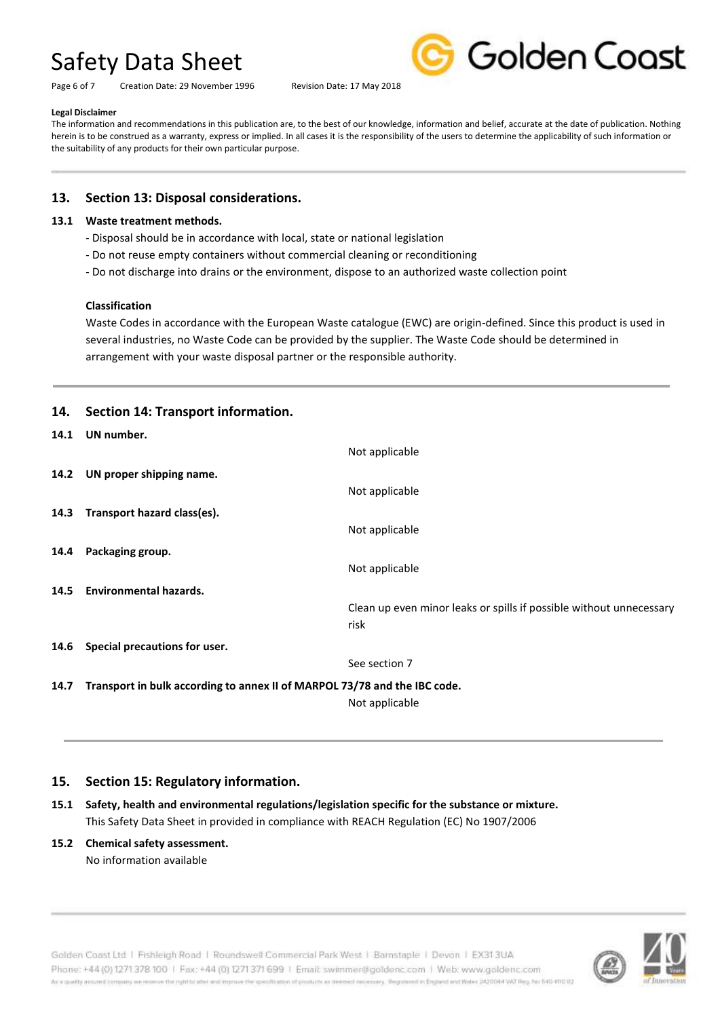Page 6 of 7 Creation Date: 29 November 1996 Revision Date: 17 May 2018



#### **Legal Disclaimer**

The information and recommendations in this publication are, to the best of our knowledge, information and belief, accurate at the date of publication. Nothing herein is to be construed as a warranty, express or implied. In all cases it is the responsibility of the users to determine the applicability of such information or the suitability of any products for their own particular purpose.

### **13. Section 13: Disposal considerations.**

#### **13.1 Waste treatment methods.**

- Disposal should be in accordance with local, state or national legislation
- Do not reuse empty containers without commercial cleaning or reconditioning
- Do not discharge into drains or the environment, dispose to an authorized waste collection point

#### **Classification**

Waste Codes in accordance with the European Waste catalogue (EWC) are origin-defined. Since this product is used in several industries, no Waste Code can be provided by the supplier. The Waste Code should be determined in arrangement with your waste disposal partner or the responsible authority.

## **14. Section 14: Transport information.**

| 14.1 | UN number.                                                                |                                                                     |
|------|---------------------------------------------------------------------------|---------------------------------------------------------------------|
|      |                                                                           | Not applicable                                                      |
| 14.2 | UN proper shipping name.                                                  |                                                                     |
|      |                                                                           | Not applicable                                                      |
| 14.3 | Transport hazard class(es).                                               |                                                                     |
|      |                                                                           | Not applicable                                                      |
| 14.4 | Packaging group.                                                          |                                                                     |
|      |                                                                           | Not applicable                                                      |
| 14.5 | <b>Environmental hazards.</b>                                             |                                                                     |
|      |                                                                           | Clean up even minor leaks or spills if possible without unnecessary |
|      |                                                                           | risk                                                                |
| 14.6 | Special precautions for user.                                             |                                                                     |
|      |                                                                           | See section 7                                                       |
| 14.7 | Transport in bulk according to annex II of MARPOL 73/78 and the IBC code. |                                                                     |
|      |                                                                           | Not applicable                                                      |

### **15. Section 15: Regulatory information.**

**15.1 Safety, health and environmental regulations/legislation specific for the substance or mixture.** This Safety Data Sheet in provided in compliance with REACH Regulation (EC) No 1907/2006

#### **15.2 Chemical safety assessment.**

No information available

Golden Coast Ltd | Fishleigh Road | Roundswell Commercial Park West | Barnstaple | Devon | EX313UA Phone: +44 (0) 1271 378 100 | Fax: +44 (0) 1271 371 699 | Email: swimmer@goldenc.com | Web: www.goldenc.com As a quality annumel company we reserve the right to alter and improve the specification of products as determining received measury. Registered in Enginmed in this mid Wales (AQDO44 VAT Reg. No 540-410 0)